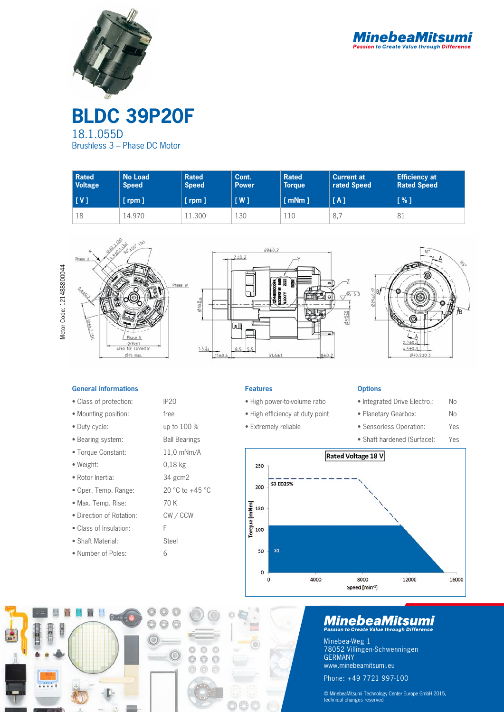

**BLDC 39P20F**

18.1.055D Brushless 3 – Phase DC Motor

| <b>Rated</b><br><b>Voltage</b> | <b>No Load</b><br><b>Speed</b> | <b>Rated</b><br><b>Speed</b> | Cont.<br><b>Power</b> | <b>Rated</b><br><b>Torque</b> | <b>Current at</b><br>rated Speed | <b>Efficiency at</b><br><b>Rated Speed</b> |
|--------------------------------|--------------------------------|------------------------------|-----------------------|-------------------------------|----------------------------------|--------------------------------------------|
| [V]                            | $[$ rpm $]$                    | $[$ rpm $]$                  | $\lceil$ W $\rceil$   | $\lceil$ mNm $\rceil$         | [A]                              | [%]                                        |
| 18                             | 14.970                         | .1.300                       | 130                   | 110                           | 8,                               | 81                                         |









# **General informations**

- Class of protection: IP20
- Mounting position: free
- Duty cycle: up to 100 %
- Bearing system: Ball Bearings
- Torque Constant: 11,0 mNm/A
- Weight: 0,18 kg
- Rotor Inertia: 34 gcm2
- Oper. Temp. Range: 20 °C to +45 °C
- Max. Temp. Rise: 70 K
- Direction of Rotation: CW / CCW
- Class of Insulation: F
- Shaft Material: Steel
- Number of Poles: 6

 $6 - 6$ 

 $\circledcirc$ 

O

 $\circledcirc$ €  $^{\circ}$ 

# **Features**

- High power-to-volume ratio
- High efficiency at duty point
- Extremely reliable

# **Options**

- Integrated Drive Electro.: No
- Planetary Gearbox: No
- Sensorless Operation: Yes
- Shaft hardened (Surface): Yes



# **MinebeaMitsumi**

Minebea-Weg 1 78052 Villingen-Schwenningen GERMANY www.minebeamitsumi.eu Phone: +49 7721 997-100

© MinebeaMitsumi Technology Center Europe GmbH 2015, technical changes reserved